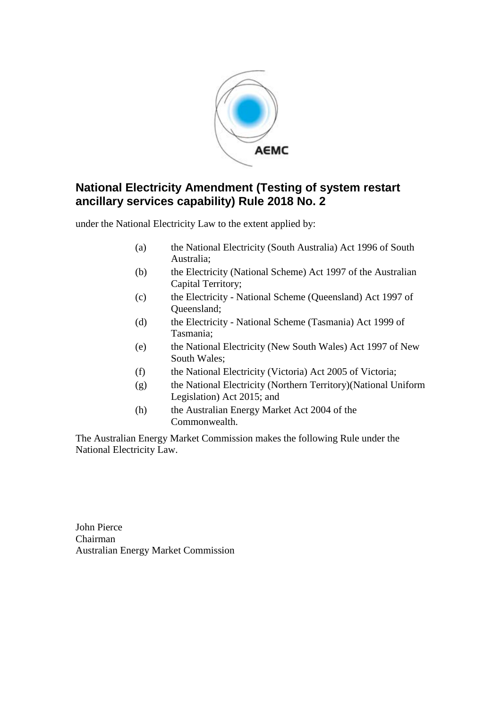

### **National Electricity Amendment (Testing of system restart ancillary services capability) Rule 2018 No. 2**

under the National Electricity Law to the extent applied by:

- (a) the National Electricity (South Australia) Act 1996 of South Australia;
- (b) the Electricity (National Scheme) Act 1997 of the Australian Capital Territory;
- (c) the Electricity National Scheme (Queensland) Act 1997 of Queensland;
- (d) the Electricity National Scheme (Tasmania) Act 1999 of Tasmania;
- (e) the National Electricity (New South Wales) Act 1997 of New South Wales;
- (f) the National Electricity (Victoria) Act 2005 of Victoria;
- (g) the National Electricity (Northern Territory)(National Uniform Legislation) Act 2015; and
- (h) the Australian Energy Market Act 2004 of the Commonwealth.

The Australian Energy Market Commission makes the following Rule under the National Electricity Law.

John Pierce Chairman Australian Energy Market Commission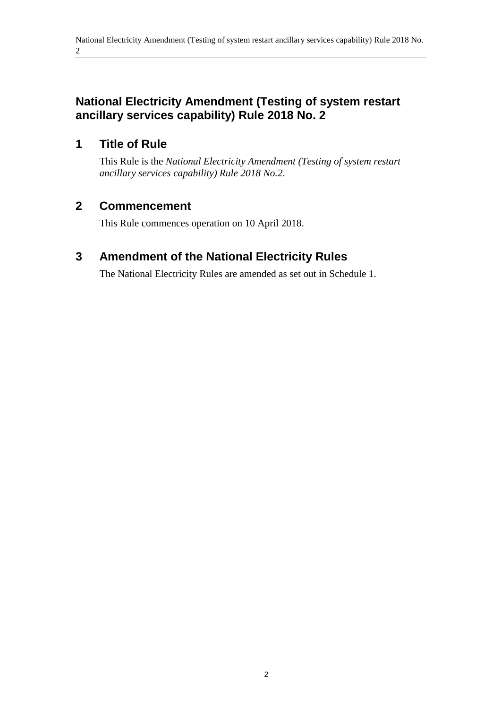# **National Electricity Amendment (Testing of system restart ancillary services capability) Rule 2018 No. 2**

## **1 Title of Rule**

This Rule is the *National Electricity Amendment (Testing of system restart ancillary services capability) Rule 2018 No.2*.

# **2 Commencement**

This Rule commences operation on 10 April 2018.

# <span id="page-1-0"></span>**3 Amendment of the National Electricity Rules**

The National Electricity Rules are amended as set out in [Schedule 1.](#page-2-0)